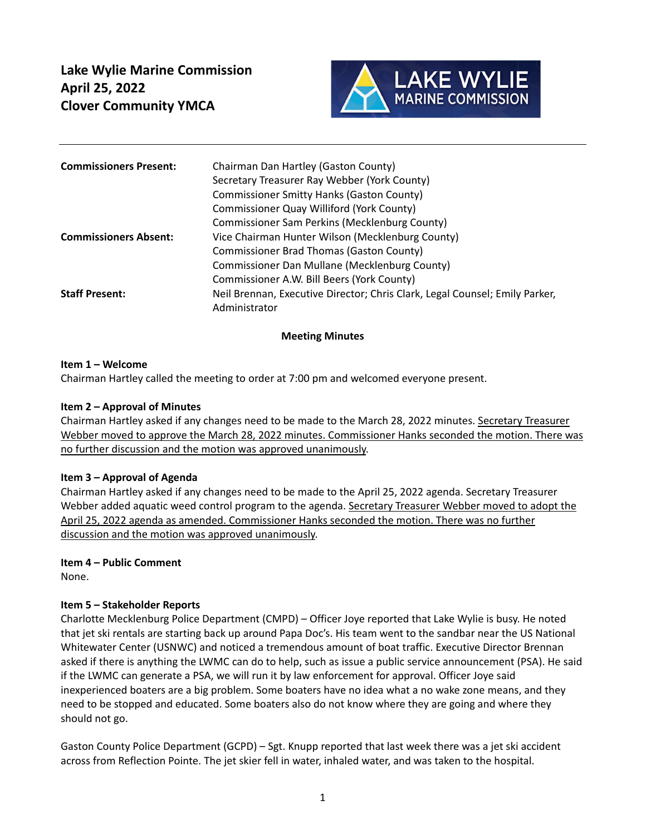

| <b>Commissioners Present:</b> | Chairman Dan Hartley (Gaston County)                                                         |
|-------------------------------|----------------------------------------------------------------------------------------------|
|                               | Secretary Treasurer Ray Webber (York County)                                                 |
|                               | Commissioner Smitty Hanks (Gaston County)                                                    |
|                               | Commissioner Quay Williford (York County)                                                    |
|                               | Commissioner Sam Perkins (Mecklenburg County)                                                |
| <b>Commissioners Absent:</b>  | Vice Chairman Hunter Wilson (Mecklenburg County)                                             |
|                               | Commissioner Brad Thomas (Gaston County)                                                     |
|                               | Commissioner Dan Mullane (Mecklenburg County)                                                |
|                               | Commissioner A.W. Bill Beers (York County)                                                   |
| <b>Staff Present:</b>         | Neil Brennan, Executive Director; Chris Clark, Legal Counsel; Emily Parker,<br>Administrator |

#### **Meeting Minutes**

#### **Item 1 – Welcome**

Chairman Hartley called the meeting to order at 7:00 pm and welcomed everyone present.

#### **Item 2 – Approval of Minutes**

Chairman Hartley asked if any changes need to be made to the March 28, 2022 minutes. Secretary Treasurer Webber moved to approve the March 28, 2022 minutes. Commissioner Hanks seconded the motion. There was no further discussion and the motion was approved unanimously.

#### **Item 3 – Approval of Agenda**

Chairman Hartley asked if any changes need to be made to the April 25, 2022 agenda. Secretary Treasurer Webber added aquatic weed control program to the agenda. Secretary Treasurer Webber moved to adopt the April 25, 2022 agenda as amended. Commissioner Hanks seconded the motion. There was no further discussion and the motion was approved unanimously.

#### **Item 4 – Public Comment**

None.

#### **Item 5 – Stakeholder Reports**

Charlotte Mecklenburg Police Department (CMPD) – Officer Joye reported that Lake Wylie is busy. He noted that jet ski rentals are starting back up around Papa Doc's. His team went to the sandbar near the US National Whitewater Center (USNWC) and noticed a tremendous amount of boat traffic. Executive Director Brennan asked if there is anything the LWMC can do to help, such as issue a public service announcement (PSA). He said if the LWMC can generate a PSA, we will run it by law enforcement for approval. Officer Joye said inexperienced boaters are a big problem. Some boaters have no idea what a no wake zone means, and they need to be stopped and educated. Some boaters also do not know where they are going and where they should not go.

Gaston County Police Department (GCPD) – Sgt. Knupp reported that last week there was a jet ski accident across from Reflection Pointe. The jet skier fell in water, inhaled water, and was taken to the hospital.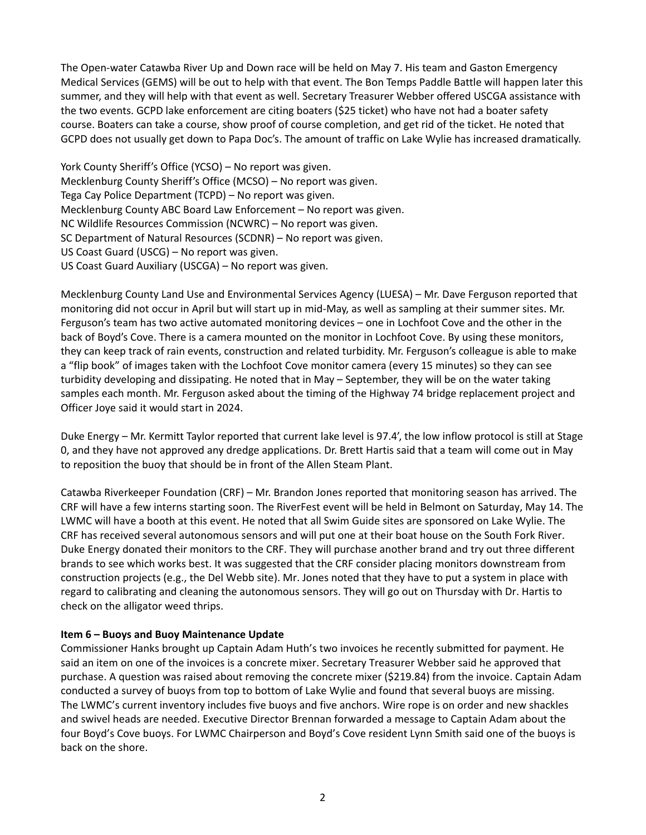The Open-water Catawba River Up and Down race will be held on May 7. His team and Gaston Emergency Medical Services (GEMS) will be out to help with that event. The Bon Temps Paddle Battle will happen later this summer, and they will help with that event as well. Secretary Treasurer Webber offered USCGA assistance with the two events. GCPD lake enforcement are citing boaters (\$25 ticket) who have not had a boater safety course. Boaters can take a course, show proof of course completion, and get rid of the ticket. He noted that GCPD does not usually get down to Papa Doc's. The amount of traffic on Lake Wylie has increased dramatically.

York County Sheriff's Office (YCSO) – No report was given. Mecklenburg County Sheriff's Office (MCSO) – No report was given. Tega Cay Police Department (TCPD) – No report was given. Mecklenburg County ABC Board Law Enforcement – No report was given. NC Wildlife Resources Commission (NCWRC) – No report was given. SC Department of Natural Resources (SCDNR) – No report was given. US Coast Guard (USCG) – No report was given. US Coast Guard Auxiliary (USCGA) – No report was given.

Mecklenburg County Land Use and Environmental Services Agency (LUESA) – Mr. Dave Ferguson reported that monitoring did not occur in April but will start up in mid‐May, as well as sampling at their summer sites. Mr. Ferguson's team has two active automated monitoring devices – one in Lochfoot Cove and the other in the back of Boyd's Cove. There is a camera mounted on the monitor in Lochfoot Cove. By using these monitors, they can keep track of rain events, construction and related turbidity. Mr. Ferguson's colleague is able to make a "flip book" of images taken with the Lochfoot Cove monitor camera (every 15 minutes) so they can see turbidity developing and dissipating. He noted that in May – September, they will be on the water taking samples each month. Mr. Ferguson asked about the timing of the Highway 74 bridge replacement project and Officer Joye said it would start in 2024.

Duke Energy – Mr. Kermitt Taylor reported that current lake level is 97.4', the low inflow protocol is still at Stage 0, and they have not approved any dredge applications. Dr. Brett Hartis said that a team will come out in May to reposition the buoy that should be in front of the Allen Steam Plant.

Catawba Riverkeeper Foundation (CRF) – Mr. Brandon Jones reported that monitoring season has arrived. The CRF will have a few interns starting soon. The RiverFest event will be held in Belmont on Saturday, May 14. The LWMC will have a booth at this event. He noted that all Swim Guide sites are sponsored on Lake Wylie. The CRF has received several autonomous sensors and will put one at their boat house on the South Fork River. Duke Energy donated their monitors to the CRF. They will purchase another brand and try out three different brands to see which works best. It was suggested that the CRF consider placing monitors downstream from construction projects (e.g., the Del Webb site). Mr. Jones noted that they have to put a system in place with regard to calibrating and cleaning the autonomous sensors. They will go out on Thursday with Dr. Hartis to check on the alligator weed thrips.

#### **Item 6 – Buoys and Buoy Maintenance Update**

Commissioner Hanks brought up Captain Adam Huth's two invoices he recently submitted for payment. He said an item on one of the invoices is a concrete mixer. Secretary Treasurer Webber said he approved that purchase. A question was raised about removing the concrete mixer (\$219.84) from the invoice. Captain Adam conducted a survey of buoys from top to bottom of Lake Wylie and found that several buoys are missing. The LWMC's current inventory includes five buoys and five anchors. Wire rope is on order and new shackles and swivel heads are needed. Executive Director Brennan forwarded a message to Captain Adam about the four Boyd's Cove buoys. For LWMC Chairperson and Boyd's Cove resident Lynn Smith said one of the buoys is back on the shore.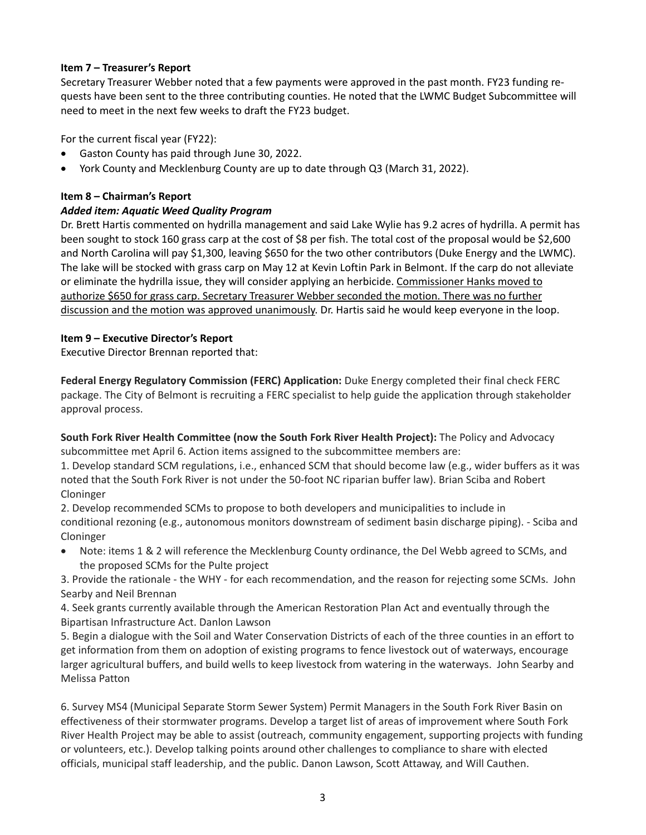# **Item 7 – Treasurer's Report**

Secretary Treasurer Webber noted that a few payments were approved in the past month. FY23 funding re‐ quests have been sent to the three contributing counties. He noted that the LWMC Budget Subcommittee will need to meet in the next few weeks to draft the FY23 budget.

For the current fiscal year (FY22):

- Gaston County has paid through June 30, 2022.
- York County and Mecklenburg County are up to date through Q3 (March 31, 2022).

# **Item 8 – Chairman's Report**

# *Added item: Aquatic Weed Quality Program*

Dr. Brett Hartis commented on hydrilla management and said Lake Wylie has 9.2 acres of hydrilla. A permit has been sought to stock 160 grass carp at the cost of \$8 per fish. The total cost of the proposal would be \$2,600 and North Carolina will pay \$1,300, leaving \$650 for the two other contributors (Duke Energy and the LWMC). The lake will be stocked with grass carp on May 12 at Kevin Loftin Park in Belmont. If the carp do not alleviate or eliminate the hydrilla issue, they will consider applying an herbicide. Commissioner Hanks moved to authorize \$650 for grass carp. Secretary Treasurer Webber seconded the motion. There was no further discussion and the motion was approved unanimously. Dr. Hartis said he would keep everyone in the loop.

# **Item 9 – Executive Director's Report**

Executive Director Brennan reported that:

**Federal Energy Regulatory Commission (FERC) Application:** Duke Energy completed their final check FERC package. The City of Belmont is recruiting a FERC specialist to help guide the application through stakeholder approval process.

**South Fork River Health Committee (now the South Fork River Health Project):** The Policy and Advocacy subcommittee met April 6. Action items assigned to the subcommittee members are:

1. Develop standard SCM regulations, i.e., enhanced SCM that should become law (e.g., wider buffers as it was noted that the South Fork River is not under the 50‐foot NC riparian buffer law). Brian Sciba and Robert Cloninger

2. Develop recommended SCMs to propose to both developers and municipalities to include in conditional rezoning (e.g., autonomous monitors downstream of sediment basin discharge piping). ‐ Sciba and Cloninger

 Note: items 1 & 2 will reference the Mecklenburg County ordinance, the Del Webb agreed to SCMs, and the proposed SCMs for the Pulte project

3. Provide the rationale ‐ the WHY ‐ for each recommendation, and the reason for rejecting some SCMs. John Searby and Neil Brennan

4. Seek grants currently available through the American Restoration Plan Act and eventually through the Bipartisan Infrastructure Act. Danlon Lawson

5. Begin a dialogue with the Soil and Water Conservation Districts of each of the three counties in an effort to get information from them on adoption of existing programs to fence livestock out of waterways, encourage larger agricultural buffers, and build wells to keep livestock from watering in the waterways. John Searby and Melissa Patton

6. Survey MS4 (Municipal Separate Storm Sewer System) Permit Managers in the South Fork River Basin on effectiveness of their stormwater programs. Develop a target list of areas of improvement where South Fork River Health Project may be able to assist (outreach, community engagement, supporting projects with funding or volunteers, etc.). Develop talking points around other challenges to compliance to share with elected officials, municipal staff leadership, and the public. Danon Lawson, Scott Attaway, and Will Cauthen.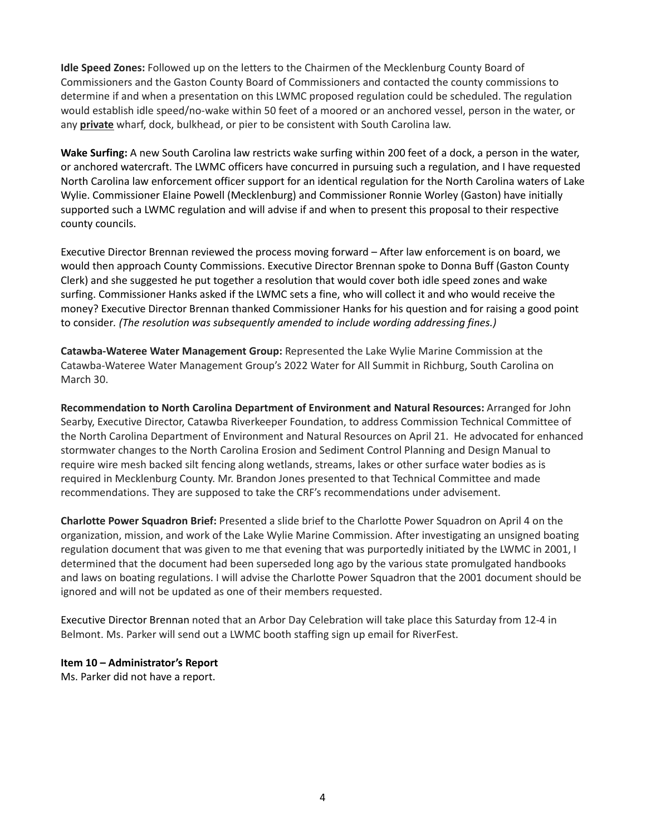**Idle Speed Zones:** Followed up on the letters to the Chairmen of the Mecklenburg County Board of Commissioners and the Gaston County Board of Commissioners and contacted the county commissions to determine if and when a presentation on this LWMC proposed regulation could be scheduled. The regulation would establish idle speed/no-wake within 50 feet of a moored or an anchored vessel, person in the water, or any **private** wharf, dock, bulkhead, or pier to be consistent with South Carolina law.

**Wake Surfing:** A new South Carolina law restricts wake surfing within 200 feet of a dock, a person in the water, or anchored watercraft. The LWMC officers have concurred in pursuing such a regulation, and I have requested North Carolina law enforcement officer support for an identical regulation for the North Carolina waters of Lake Wylie. Commissioner Elaine Powell (Mecklenburg) and Commissioner Ronnie Worley (Gaston) have initially supported such a LWMC regulation and will advise if and when to present this proposal to their respective county councils.

Executive Director Brennan reviewed the process moving forward – After law enforcement is on board, we would then approach County Commissions. Executive Director Brennan spoke to Donna Buff (Gaston County Clerk) and she suggested he put together a resolution that would cover both idle speed zones and wake surfing. Commissioner Hanks asked if the LWMC sets a fine, who will collect it and who would receive the money? Executive Director Brennan thanked Commissioner Hanks for his question and for raising a good point to consider*. (The resolution was subsequently amended to include wording addressing fines.)* 

**Catawba‐Wateree Water Management Group:** Represented the Lake Wylie Marine Commission at the Catawba‐Wateree Water Management Group's 2022 Water for All Summit in Richburg, South Carolina on March 30.

**Recommendation to North Carolina Department of Environment and Natural Resources:** Arranged for John Searby, Executive Director, Catawba Riverkeeper Foundation, to address Commission Technical Committee of the North Carolina Department of Environment and Natural Resources on April 21. He advocated for enhanced stormwater changes to the North Carolina Erosion and Sediment Control Planning and Design Manual to require wire mesh backed silt fencing along wetlands, streams, lakes or other surface water bodies as is required in Mecklenburg County. Mr. Brandon Jones presented to that Technical Committee and made recommendations. They are supposed to take the CRF's recommendations under advisement.

**Charlotte Power Squadron Brief:** Presented a slide brief to the Charlotte Power Squadron on April 4 on the organization, mission, and work of the Lake Wylie Marine Commission. After investigating an unsigned boating regulation document that was given to me that evening that was purportedly initiated by the LWMC in 2001, I determined that the document had been superseded long ago by the various state promulgated handbooks and laws on boating regulations. I will advise the Charlotte Power Squadron that the 2001 document should be ignored and will not be updated as one of their members requested.

Executive Director Brennan noted that an Arbor Day Celebration will take place this Saturday from 12‐4 in Belmont. Ms. Parker will send out a LWMC booth staffing sign up email for RiverFest.

**Item 10 – Administrator's Report** 

Ms. Parker did not have a report.